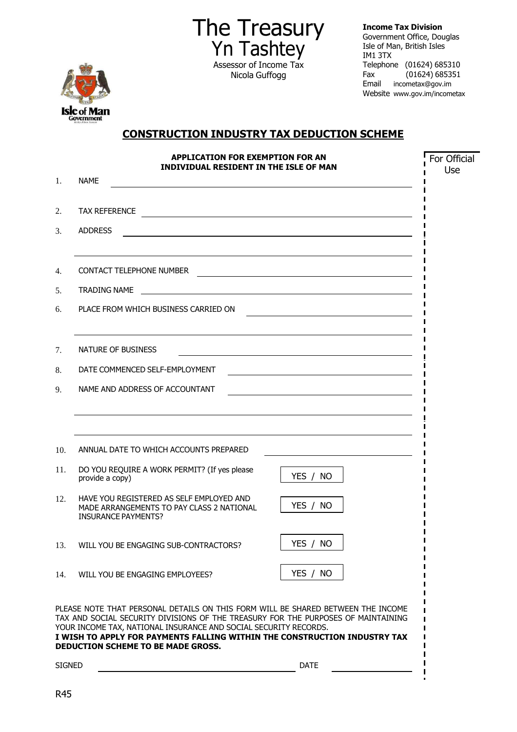

The Treasury Yn Tashtey Assessor of Income Tax Nicola Guffogg

**Income Tax Division** 

Government Office, Douglas Isle of Man, British Isles IM1 3TX Telephone (01624) 685310 Fax (01624) 685351 Email [incometax@gov.im](mailto:incometax@gov.im) Website [www.gov.im/incometax](http://www.gov.im/incometax)

 $\mathbf{I}$ 

## **CONSTRUCTION INDUSTRY TAX DEDUCTION SCHEME**

| <b>APPLICATION FOR EXEMPTION FOR AN</b><br><b>INDIVIDUAL RESIDENT IN THE ISLE OF MAN</b> |                                                                                                                                                                                                                                                                                                                                                                     |                                                                                                                       | For Official<br>Use |
|------------------------------------------------------------------------------------------|---------------------------------------------------------------------------------------------------------------------------------------------------------------------------------------------------------------------------------------------------------------------------------------------------------------------------------------------------------------------|-----------------------------------------------------------------------------------------------------------------------|---------------------|
| 1.                                                                                       | <b>NAME</b>                                                                                                                                                                                                                                                                                                                                                         |                                                                                                                       |                     |
| 2.                                                                                       | <b>TAX REFERENCE</b>                                                                                                                                                                                                                                                                                                                                                | <u> 1989 - Johann Harry Barn, mars ar breithinn ar breithinn ar breithinn ar breithinn ar breithinn ar breithinn </u> |                     |
| 3.                                                                                       | <b>ADDRESS</b>                                                                                                                                                                                                                                                                                                                                                      |                                                                                                                       |                     |
| $\overline{4}$ .                                                                         | <b>CONTACT TELEPHONE NUMBER</b>                                                                                                                                                                                                                                                                                                                                     | <u> 1989 - Johann Barbara, martxa alemaniar argumento este alemaniar alemaniar alemaniar alemaniar alemaniar al</u>   |                     |
| 5.                                                                                       | <b>TRADING NAME</b>                                                                                                                                                                                                                                                                                                                                                 | <u> 1989 - Johann Stein, mars and de British Boston (b. 1989)</u>                                                     |                     |
| 6.                                                                                       | PLACE FROM WHICH BUSINESS CARRIED ON                                                                                                                                                                                                                                                                                                                                |                                                                                                                       |                     |
| 7.                                                                                       | NATURE OF BUSINESS                                                                                                                                                                                                                                                                                                                                                  |                                                                                                                       |                     |
| 8.                                                                                       | DATE COMMENCED SELF-EMPLOYMENT                                                                                                                                                                                                                                                                                                                                      | <u> 1989 - Johann Stein, marwolaethau a bhann an t-Amhainn an t-Amhainn an t-Amhainn an t-Amhainn an t-Amhainn a</u>  |                     |
| 9.                                                                                       | NAME AND ADDRESS OF ACCOUNTANT                                                                                                                                                                                                                                                                                                                                      |                                                                                                                       |                     |
|                                                                                          |                                                                                                                                                                                                                                                                                                                                                                     |                                                                                                                       |                     |
| 10.                                                                                      | ANNUAL DATE TO WHICH ACCOUNTS PREPARED                                                                                                                                                                                                                                                                                                                              |                                                                                                                       |                     |
| 11.                                                                                      | DO YOU REQUIRE A WORK PERMIT? (If yes please<br>provide a copy)                                                                                                                                                                                                                                                                                                     | YES / NO                                                                                                              |                     |
| 12.                                                                                      | HAVE YOU REGISTERED AS SELF EMPLOYED AND<br>MADE ARRANGEMENTS TO PAY CLASS 2 NATIONAL<br><b>INSURANCE PAYMENTS?</b>                                                                                                                                                                                                                                                 | YES / NO                                                                                                              |                     |
| 13.                                                                                      | WILL YOU BE ENGAGING SUB-CONTRACTORS?                                                                                                                                                                                                                                                                                                                               | YES / NO                                                                                                              |                     |
| 14.                                                                                      | WILL YOU BE ENGAGING EMPLOYEES?                                                                                                                                                                                                                                                                                                                                     | YES / NO                                                                                                              |                     |
|                                                                                          | PLEASE NOTE THAT PERSONAL DETAILS ON THIS FORM WILL BE SHARED BETWEEN THE INCOME<br>TAX AND SOCIAL SECURITY DIVISIONS OF THE TREASURY FOR THE PURPOSES OF MAINTAINING<br>YOUR INCOME TAX, NATIONAL INSURANCE AND SOCIAL SECURITY RECORDS.<br>I WISH TO APPLY FOR PAYMENTS FALLING WITHIN THE CONSTRUCTION INDUSTRY TAX<br><b>DEDUCTION SCHEME TO BE MADE GROSS.</b> |                                                                                                                       |                     |
| <b>SIGNED</b>                                                                            |                                                                                                                                                                                                                                                                                                                                                                     | <b>DATE</b>                                                                                                           |                     |